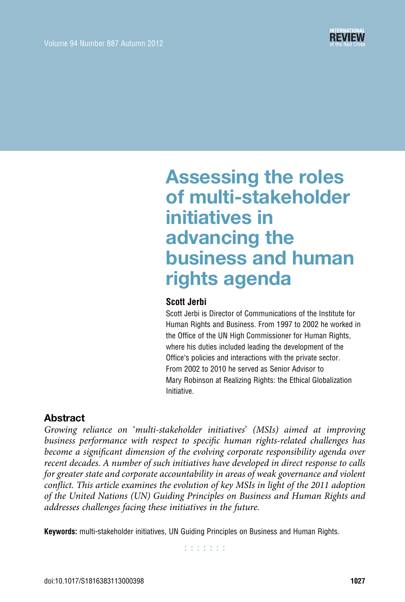# Assessing the roles of multi-stakeholder initiatives in advancing the business and human rights agenda

#### Scott Jerbi

Scott Jerbi is Director of Communications of the Institute for Human Rights and Business. From 1997 to 2002 he worked in the Office of the UN High Commissioner for Human Rights, where his duties included leading the development of the Office's policies and interactions with the private sector. From 2002 to 2010 he served as Senior Advisor to Mary Robinson at Realizing Rights: the Ethical Globalization Initiative.

## **Abstract**

Growing reliance on 'multi-stakeholder initiatives' (MSIs) aimed at improving business performance with respect to specific human rights-related challenges has become a significant dimension of the evolving corporate responsibility agenda over recent decades. A number of such initiatives have developed in direct response to calls for greater state and corporate accountability in areas of weak governance and violent conflict. This article examines the evolution of key MSIs in light of the 2011 adoption of the United Nations (UN) Guiding Principles on Business and Human Rights and addresses challenges facing these initiatives in the future.

Keywords: multi-stakeholder initiatives, UN Guiding Principles on Business and Human Rights.

**Editoria**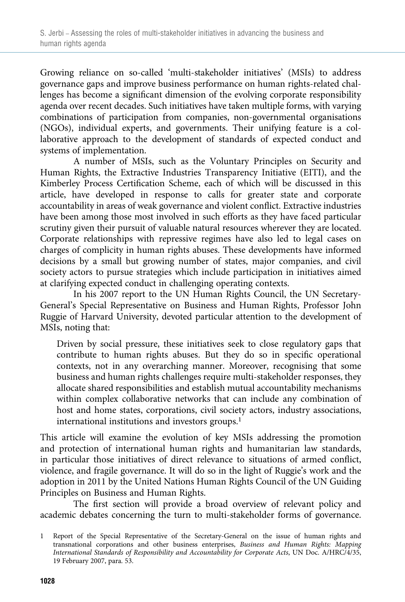Growing reliance on so-called 'multi-stakeholder initiatives' (MSIs) to address governance gaps and improve business performance on human rights-related challenges has become a significant dimension of the evolving corporate responsibility agenda over recent decades. Such initiatives have taken multiple forms, with varying combinations of participation from companies, non-governmental organisations (NGOs), individual experts, and governments. Their unifying feature is a collaborative approach to the development of standards of expected conduct and systems of implementation.

A number of MSIs, such as the Voluntary Principles on Security and Human Rights, the Extractive Industries Transparency Initiative (EITI), and the Kimberley Process Certification Scheme, each of which will be discussed in this article, have developed in response to calls for greater state and corporate accountability in areas of weak governance and violent conflict. Extractive industries have been among those most involved in such efforts as they have faced particular scrutiny given their pursuit of valuable natural resources wherever they are located. Corporate relationships with repressive regimes have also led to legal cases on charges of complicity in human rights abuses. These developments have informed decisions by a small but growing number of states, major companies, and civil society actors to pursue strategies which include participation in initiatives aimed at clarifying expected conduct in challenging operating contexts.

In his 2007 report to the UN Human Rights Council, the UN Secretary-General's Special Representative on Business and Human Rights, Professor John Ruggie of Harvard University, devoted particular attention to the development of MSIs, noting that:

Driven by social pressure, these initiatives seek to close regulatory gaps that contribute to human rights abuses. But they do so in specific operational contexts, not in any overarching manner. Moreover, recognising that some business and human rights challenges require multi-stakeholder responses, they allocate shared responsibilities and establish mutual accountability mechanisms within complex collaborative networks that can include any combination of host and home states, corporations, civil society actors, industry associations, international institutions and investors groups.<sup>1</sup>

This article will examine the evolution of key MSIs addressing the promotion and protection of international human rights and humanitarian law standards, in particular those initiatives of direct relevance to situations of armed conflict, violence, and fragile governance. It will do so in the light of Ruggie's work and the adoption in 2011 by the United Nations Human Rights Council of the UN Guiding Principles on Business and Human Rights.

The first section will provide a broad overview of relevant policy and academic debates concerning the turn to multi-stakeholder forms of governance.

<sup>1</sup> Report of the Special Representative of the Secretary-General on the issue of human rights and transnational corporations and other business enterprises, Business and Human Rights: Mapping International Standards of Responsibility and Accountability for Corporate Acts, UN Doc. A/HRC/4/35, 19 February 2007, para. 53.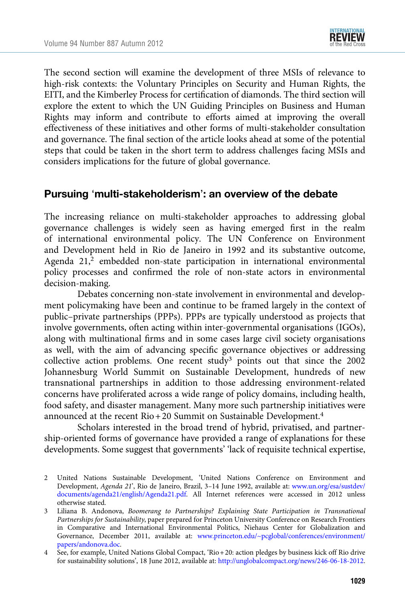

The second section will examine the development of three MSIs of relevance to high-risk contexts: the Voluntary Principles on Security and Human Rights, the EITI, and the Kimberley Process for certification of diamonds. The third section will explore the extent to which the UN Guiding Principles on Business and Human Rights may inform and contribute to efforts aimed at improving the overall effectiveness of these initiatives and other forms of multi-stakeholder consultation and governance. The final section of the article looks ahead at some of the potential steps that could be taken in the short term to address challenges facing MSIs and considers implications for the future of global governance.

### Pursuing 'multi-stakeholderism': an overview of the debate

The increasing reliance on multi-stakeholder approaches to addressing global governance challenges is widely seen as having emerged first in the realm of international environmental policy. The UN Conference on Environment and Development held in Rio de Janeiro in 1992 and its substantive outcome, Agenda 21,<sup>2</sup> embedded non-state participation in international environmental policy processes and confirmed the role of non-state actors in environmental decision-making.

Debates concerning non-state involvement in environmental and development policymaking have been and continue to be framed largely in the context of public–private partnerships (PPPs). PPPs are typically understood as projects that involve governments, often acting within inter-governmental organisations (IGOs), along with multinational firms and in some cases large civil society organisations as well, with the aim of advancing specific governance objectives or addressing collective action problems. One recent study3 points out that since the 2002 Johannesburg World Summit on Sustainable Development, hundreds of new transnational partnerships in addition to those addressing environment-related concerns have proliferated across a wide range of policy domains, including health, food safety, and disaster management. Many more such partnership initiatives were announced at the recent Rio + 20 Summit on Sustainable Development.4

Scholars interested in the broad trend of hybrid, privatised, and partnership-oriented forms of governance have provided a range of explanations for these developments. Some suggest that governments' 'lack of requisite technical expertise,

<sup>2</sup> United Nations Sustainable Development, 'United Nations Conference on Environment and Development, Agenda 21', Rio de Janeiro, Brazil, 3–14 June 1992, available at: [www.un.org/esa/sustdev/](http://www.un.org/esa/sustdev/documents/agenda21/english/Agenda21.pdf) [documents/agenda21/english/Agenda21.pdf.](http://www.un.org/esa/sustdev/documents/agenda21/english/Agenda21.pdf) All Internet references were accessed in 2012 unless otherwise stated.

<sup>3</sup> Liliana B. Andonova, Boomerang to Partnerships? Explaining State Participation in Transnational Partnerships for Sustainability, paper prepared for Princeton University Conference on Research Frontiers in Comparative and International Environmental Politics, Niehaus Center for Globalization and Governance, December 2011, available at: [www.princeton.edu/~pcglobal/conferences/environment/](http://www.princeton.edu/~pcglobal/conferences/environment/papers/andonova.doc) [papers/andonova.doc.](http://www.princeton.edu/~pcglobal/conferences/environment/papers/andonova.doc)

<sup>4</sup> See, for example, United Nations Global Compact, 'Rio + 20: action pledges by business kick off Rio drive for sustainability solutions', 18 June 2012, available at: <http://unglobalcompact.org/news/246-06-18-2012>.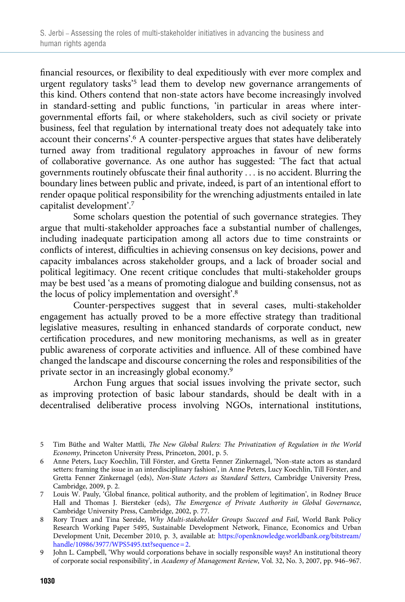financial resources, or flexibility to deal expeditiously with ever more complex and urgent regulatory tasks' <sup>5</sup> lead them to develop new governance arrangements of this kind. Others contend that non-state actors have become increasingly involved in standard-setting and public functions, 'in particular in areas where intergovernmental efforts fail, or where stakeholders, such as civil society or private business, feel that regulation by international treaty does not adequately take into account their concerns'. <sup>6</sup> A counter-perspective argues that states have deliberately turned away from traditional regulatory approaches in favour of new forms of collaborative governance. As one author has suggested: 'The fact that actual governments routinely obfuscate their final authority ... is no accident. Blurring the boundary lines between public and private, indeed, is part of an intentional effort to render opaque political responsibility for the wrenching adjustments entailed in late capitalist development'. 7

Some scholars question the potential of such governance strategies. They argue that multi-stakeholder approaches face a substantial number of challenges, including inadequate participation among all actors due to time constraints or conflicts of interest, difficulties in achieving consensus on key decisions, power and capacity imbalances across stakeholder groups, and a lack of broader social and political legitimacy. One recent critique concludes that multi-stakeholder groups may be best used 'as a means of promoting dialogue and building consensus, not as the locus of policy implementation and oversight'.<sup>8</sup>

Counter-perspectives suggest that in several cases, multi-stakeholder engagement has actually proved to be a more effective strategy than traditional legislative measures, resulting in enhanced standards of corporate conduct, new certification procedures, and new monitoring mechanisms, as well as in greater public awareness of corporate activities and influence. All of these combined have changed the landscape and discourse concerning the roles and responsibilities of the private sector in an increasingly global economy.9

Archon Fung argues that social issues involving the private sector, such as improving protection of basic labour standards, should be dealt with in a decentralised deliberative process involving NGOs, international institutions,

<sup>5</sup> Tim Büthe and Walter Mattli, The New Global Rulers: The Privatization of Regulation in the World Economy, Princeton University Press, Princeton, 2001, p. 5.

<sup>6</sup> Anne Peters, Lucy Koechlin, Till Förster, and Gretta Fenner Zinkernagel, 'Non-state actors as standard setters: framing the issue in an interdisciplinary fashion', in Anne Peters, Lucy Koechlin, Till Förster, and Gretta Fenner Zinkernagel (eds), Non-State Actors as Standard Setters, Cambridge University Press, Cambridge, 2009, p. 2.

<sup>7</sup> Louis W. Pauly, 'Global finance, political authority, and the problem of legitimation', in Rodney Bruce Hall and Thomas J. Biersteker (eds), The Emergence of Private Authority in Global Governance, Cambridge University Press, Cambridge, 2002, p. 77.

<sup>8</sup> Rory Truex and Tina Søreide, Why Multi-stakeholder Groups Succeed and Fail, World Bank Policy Research Working Paper 5495, Sustainable Development Network, Finance, Economics and Urban Development Unit, December 2010, p. 3, available at: [https://openknowledge.worldbank.org/bitstream/](https://openknowledge.worldbank.org/bitstream/handle/10986/3977/WPS5495.txt?sequence=2) [handle/10986/3977/WPS5495.txt?sequence = 2.](https://openknowledge.worldbank.org/bitstream/handle/10986/3977/WPS5495.txt?sequence=2)

<sup>9</sup> John L. Campbell, 'Why would corporations behave in socially responsible ways? An institutional theory of corporate social responsibility', in Academy of Management Review, Vol. 32, No. 3, 2007, pp. 946–967.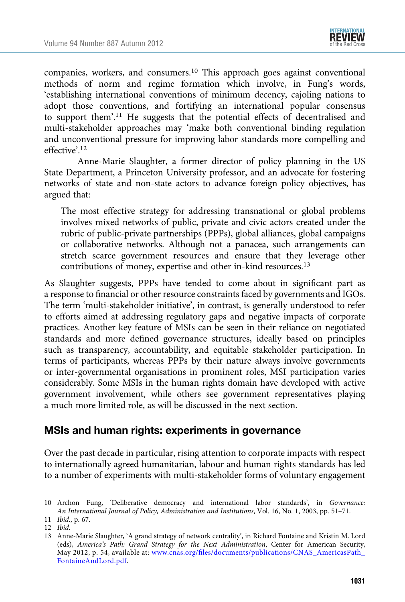companies, workers, and consumers.10 This approach goes against conventional methods of norm and regime formation which involve, in Fung's words, 'establishing international conventions of minimum decency, cajoling nations to adopt those conventions, and fortifying an international popular consensus to support them'. <sup>11</sup> He suggests that the potential effects of decentralised and multi-stakeholder approaches may 'make both conventional binding regulation and unconventional pressure for improving labor standards more compelling and effective'. 12

Anne-Marie Slaughter, a former director of policy planning in the US State Department, a Princeton University professor, and an advocate for fostering networks of state and non-state actors to advance foreign policy objectives, has argued that:

The most effective strategy for addressing transnational or global problems involves mixed networks of public, private and civic actors created under the rubric of public-private partnerships (PPPs), global alliances, global campaigns or collaborative networks. Although not a panacea, such arrangements can stretch scarce government resources and ensure that they leverage other contributions of money, expertise and other in-kind resources.13

As Slaughter suggests, PPPs have tended to come about in significant part as a response to financial or other resource constraints faced by governments and IGOs. The term 'multi-stakeholder initiative', in contrast, is generally understood to refer to efforts aimed at addressing regulatory gaps and negative impacts of corporate practices. Another key feature of MSIs can be seen in their reliance on negotiated standards and more defined governance structures, ideally based on principles such as transparency, accountability, and equitable stakeholder participation. In terms of participants, whereas PPPs by their nature always involve governments or inter-governmental organisations in prominent roles, MSI participation varies considerably. Some MSIs in the human rights domain have developed with active government involvement, while others see government representatives playing a much more limited role, as will be discussed in the next section.

# MSIs and human rights: experiments in governance

Over the past decade in particular, rising attention to corporate impacts with respect to internationally agreed humanitarian, labour and human rights standards has led to a number of experiments with multi-stakeholder forms of voluntary engagement

<sup>10</sup> Archon Fung, 'Deliberative democracy and international labor standards', in Governance: An International Journal of Policy, Administration and Institutions, Vol. 16, No. 1, 2003, pp. 51–71.

<sup>11</sup> Ibid., p. 67.

<sup>12</sup> Ibid.

<sup>13</sup> Anne-Marie Slaughter, 'A grand strategy of network centrality', in Richard Fontaine and Kristin M. Lord (eds), America's Path: Grand Strategy for the Next Administration, Center for American Security, May 2012, p. 54, available at: www.cnas.org/fi[les/documents/publications/CNAS\\_AmericasPath\\_](http://www.cnas.org/files/documents/publications/CNAS_AmericasPath_FontaineAndLord.pdf) [FontaineAndLord.pdf](http://www.cnas.org/files/documents/publications/CNAS_AmericasPath_FontaineAndLord.pdf).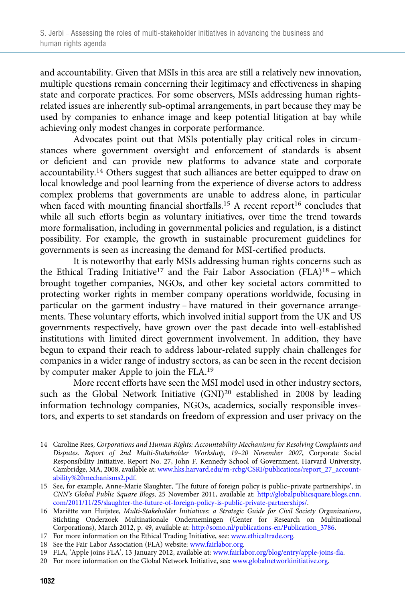and accountability. Given that MSIs in this area are still a relatively new innovation, multiple questions remain concerning their legitimacy and effectiveness in shaping state and corporate practices. For some observers, MSIs addressing human rightsrelated issues are inherently sub-optimal arrangements, in part because they may be used by companies to enhance image and keep potential litigation at bay while achieving only modest changes in corporate performance.

Advocates point out that MSIs potentially play critical roles in circumstances where government oversight and enforcement of standards is absent or deficient and can provide new platforms to advance state and corporate accountability.<sup>14</sup> Others suggest that such alliances are better equipped to draw on local knowledge and pool learning from the experience of diverse actors to address complex problems that governments are unable to address alone, in particular when faced with mounting financial shortfalls.<sup>15</sup> A recent report<sup>16</sup> concludes that while all such efforts begin as voluntary initiatives, over time the trend towards more formalisation, including in governmental policies and regulation, is a distinct possibility. For example, the growth in sustainable procurement guidelines for governments is seen as increasing the demand for MSI-certified products.

It is noteworthy that early MSIs addressing human rights concerns such as the Ethical Trading Initiative<sup>17</sup> and the Fair Labor Association (FLA)<sup>18</sup> - which brought together companies, NGOs, and other key societal actors committed to protecting worker rights in member company operations worldwide, focusing in particular on the garment industry – have matured in their governance arrangements. These voluntary efforts, which involved initial support from the UK and US governments respectively, have grown over the past decade into well-established institutions with limited direct government involvement. In addition, they have begun to expand their reach to address labour-related supply chain challenges for companies in a wider range of industry sectors, as can be seen in the recent decision by computer maker Apple to join the FLA.19

More recent efforts have seen the MSI model used in other industry sectors, such as the Global Network Initiative (GNI)<sup>20</sup> established in 2008 by leading information technology companies, NGOs, academics, socially responsible investors, and experts to set standards on freedom of expression and user privacy on the

<sup>14</sup> Caroline Rees, Corporations and Human Rights: Accountability Mechanisms for Resolving Complaints and Disputes. Report of 2nd Multi-Stakeholder Workshop, 19–20 November 2007, Corporate Social Responsibility Initiative, Report No. 27, John F. Kennedy School of Government, Harvard University, Cambridge, MA, 2008, available at: [www.hks.harvard.edu/m-rcbg/CSRI/publications/report\\_27\\_account](http://www.hks.harvard.edu/m-rcbg/CSRI/publications/report_27_accountability%20mechanisms2.pdf)[ability%20mechanisms2.pdf](http://www.hks.harvard.edu/m-rcbg/CSRI/publications/report_27_accountability%20mechanisms2.pdf).

<sup>15</sup> See, for example, Anne-Marie Slaughter, 'The future of foreign policy is public–private partnerships', in CNN's Global Public Square Blogs, 25 November 2011, available at: [http://globalpublicsquare.blogs.cnn.](http://globalpublicsquare.blogs.cnn.com/2011/11/25/slaughter-the-future-of-foreign-policy-is-public-private-partnerships/) [com/2011/11/25/slaughter-the-future-of-foreign-policy-is-public-private-partnerships/.](http://globalpublicsquare.blogs.cnn.com/2011/11/25/slaughter-the-future-of-foreign-policy-is-public-private-partnerships/)

<sup>16</sup> Mariëtte van Huijstee, Multi-Stakeholder Initiatives: a Strategic Guide for Civil Society Organizations, Stichting Onderzoek Multinationale Ondernemingen (Center for Research on Multinational Corporations), March 2012, p. 49, available at: [http://somo.nl/publications-en/Publication\\_3786.](http://somo.nl/publications-en/Publication_3786)

<sup>17</sup> For more information on the Ethical Trading Initiative, see: [www.ethicaltrade.org.](http://www.ethicaltrade.org)

<sup>18</sup> See the Fair Labor Association (FLA) website: [www.fairlabor.org](http://www.fairlabor.org).

<sup>19</sup> FLA, 'Apple joins FLA', 13 January 2012, available at: [www.fairlabor.org/blog/entry/apple-joins-](http://www.fairlabor.org/blog/entry/apple-joins-fla)fla.

<sup>20</sup> For more information on the Global Network Initiative, see: [www.globalnetworkinitiative.org](http://www.globalnetworkinitiative.org).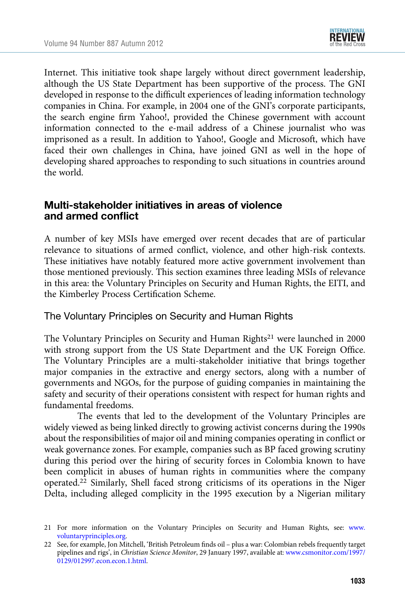

Internet. This initiative took shape largely without direct government leadership, although the US State Department has been supportive of the process. The GNI developed in response to the difficult experiences of leading information technology companies in China. For example, in 2004 one of the GNI's corporate participants, the search engine firm Yahoo!, provided the Chinese government with account information connected to the e-mail address of a Chinese journalist who was imprisoned as a result. In addition to Yahoo!, Google and Microsoft, which have faced their own challenges in China, have joined GNI as well in the hope of developing shared approaches to responding to such situations in countries around the world.

# Multi-stakeholder initiatives in areas of violence and armed conflict

A number of key MSIs have emerged over recent decades that are of particular relevance to situations of armed conflict, violence, and other high-risk contexts. These initiatives have notably featured more active government involvement than those mentioned previously. This section examines three leading MSIs of relevance in this area: the Voluntary Principles on Security and Human Rights, the EITI, and the Kimberley Process Certification Scheme.

# The Voluntary Principles on Security and Human Rights

The Voluntary Principles on Security and Human Rights<sup>21</sup> were launched in 2000 with strong support from the US State Department and the UK Foreign Office. The Voluntary Principles are a multi-stakeholder initiative that brings together major companies in the extractive and energy sectors, along with a number of governments and NGOs, for the purpose of guiding companies in maintaining the safety and security of their operations consistent with respect for human rights and fundamental freedoms.

The events that led to the development of the Voluntary Principles are widely viewed as being linked directly to growing activist concerns during the 1990s about the responsibilities of major oil and mining companies operating in conflict or weak governance zones. For example, companies such as BP faced growing scrutiny during this period over the hiring of security forces in Colombia known to have been complicit in abuses of human rights in communities where the company operated.<sup>22</sup> Similarly, Shell faced strong criticisms of its operations in the Niger Delta, including alleged complicity in the 1995 execution by a Nigerian military

<sup>21</sup> For more information on the Voluntary Principles on Security and Human Rights, see: [www.](http://www.voluntaryprinciples.org) [voluntaryprinciples.org.](http://www.voluntaryprinciples.org)

<sup>22</sup> See, for example, Jon Mitchell, 'British Petroleum finds oil – plus a war: Colombian rebels frequently target pipelines and rigs', in Christian Science Monitor, 29 January 1997, available at: [www.csmonitor.com/1997/](http://www.csmonitor.com/1997/0129/012997.econ.econ.1.html) [0129/012997.econ.econ.1.html.](http://www.csmonitor.com/1997/0129/012997.econ.econ.1.html)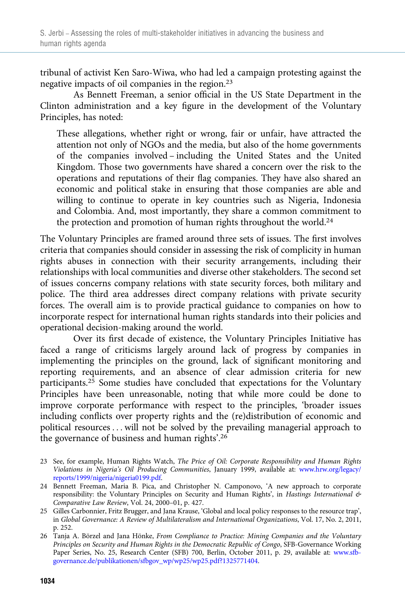tribunal of activist Ken Saro-Wiwa, who had led a campaign protesting against the negative impacts of oil companies in the region.<sup>23</sup>

As Bennett Freeman, a senior official in the US State Department in the Clinton administration and a key figure in the development of the Voluntary Principles, has noted:

These allegations, whether right or wrong, fair or unfair, have attracted the attention not only of NGOs and the media, but also of the home governments of the companies involved – including the United States and the United Kingdom. Those two governments have shared a concern over the risk to the operations and reputations of their flag companies. They have also shared an economic and political stake in ensuring that those companies are able and willing to continue to operate in key countries such as Nigeria, Indonesia and Colombia. And, most importantly, they share a common commitment to the protection and promotion of human rights throughout the world.<sup>24</sup>

The Voluntary Principles are framed around three sets of issues. The first involves criteria that companies should consider in assessing the risk of complicity in human rights abuses in connection with their security arrangements, including their relationships with local communities and diverse other stakeholders. The second set of issues concerns company relations with state security forces, both military and police. The third area addresses direct company relations with private security forces. The overall aim is to provide practical guidance to companies on how to incorporate respect for international human rights standards into their policies and operational decision-making around the world.

Over its first decade of existence, the Voluntary Principles Initiative has faced a range of criticisms largely around lack of progress by companies in implementing the principles on the ground, lack of significant monitoring and reporting requirements, and an absence of clear admission criteria for new participants.<sup>25</sup> Some studies have concluded that expectations for the Voluntary Principles have been unreasonable, noting that while more could be done to improve corporate performance with respect to the principles, 'broader issues including conflicts over property rights and the (re)distribution of economic and political resources ... will not be solved by the prevailing managerial approach to the governance of business and human rights'. 26

<sup>23</sup> See, for example, Human Rights Watch, The Price of Oil: Corporate Responsibility and Human Rights Violations in Nigeria's Oil Producing Communities, January 1999, available at: [www.hrw.org/legacy/](http://www.hrw.org/legacy/reports/1999/nigeria/nigeria0199.pdf) [reports/1999/nigeria/nigeria0199.pdf](http://www.hrw.org/legacy/reports/1999/nigeria/nigeria0199.pdf).

<sup>24</sup> Bennett Freeman, Maria B. Pica, and Christopher N. Camponovo, 'A new approach to corporate responsibility: the Voluntary Principles on Security and Human Rights', in Hastings International & Comparative Law Review, Vol. 24, 2000–01, p. 427.

<sup>25</sup> Gilles Carbonnier, Fritz Brugger, and Jana Krause, 'Global and local policy responses to the resource trap', in Global Governance: A Review of Multilateralism and International Organizations, Vol. 17, No. 2, 2011, p. 252.

<sup>26</sup> Tanja A. Börzel and Jana Hönke, From Compliance to Practice: Mining Companies and the Voluntary Principles on Security and Human Rights in the Democratic Republic of Congo, SFB-Governance Working Paper Series, No. 25, Research Center (SFB) 700, Berlin, October 2011, p. 29, available at: [www.sfb](http://www.sfb-governance.de/publikationen/sfbgov_wp/wp25/wp25.pdf?1325771404)[governance.de/publikationen/sfbgov\\_wp/wp25/wp25.pdf?1325771404](http://www.sfb-governance.de/publikationen/sfbgov_wp/wp25/wp25.pdf?1325771404).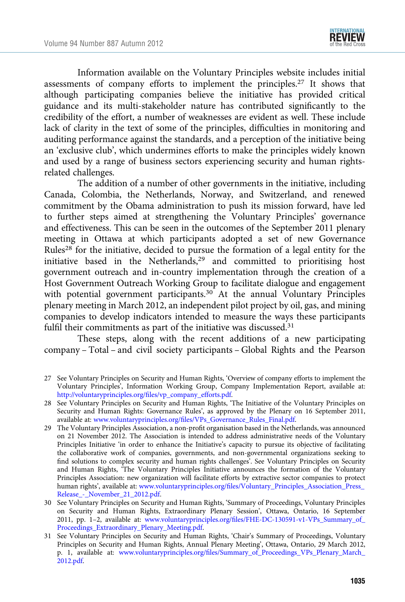

Information available on the Voluntary Principles website includes initial assessments of company efforts to implement the principles.27 It shows that although participating companies believe the initiative has provided critical guidance and its multi-stakeholder nature has contributed significantly to the credibility of the effort, a number of weaknesses are evident as well. These include lack of clarity in the text of some of the principles, difficulties in monitoring and auditing performance against the standards, and a perception of the initiative being an 'exclusive club', which undermines efforts to make the principles widely known and used by a range of business sectors experiencing security and human rightsrelated challenges.

The addition of a number of other governments in the initiative, including Canada, Colombia, the Netherlands, Norway, and Switzerland, and renewed commitment by the Obama administration to push its mission forward, have led to further steps aimed at strengthening the Voluntary Principles' governance and effectiveness. This can be seen in the outcomes of the September 2011 plenary meeting in Ottawa at which participants adopted a set of new Governance Rules28 for the initiative, decided to pursue the formation of a legal entity for the initiative based in the Netherlands,<sup>29</sup> and committed to prioritising host government outreach and in-country implementation through the creation of a Host Government Outreach Working Group to facilitate dialogue and engagement with potential government participants.<sup>30</sup> At the annual Voluntary Principles plenary meeting in March 2012, an independent pilot project by oil, gas, and mining companies to develop indicators intended to measure the ways these participants fulfil their commitments as part of the initiative was discussed.<sup>31</sup>

These steps, along with the recent additions of a new participating company – Total – and civil society participants – Global Rights and the Pearson

<sup>27</sup> See Voluntary Principles on Security and Human Rights, 'Overview of company efforts to implement the Voluntary Principles', Information Working Group, Company Implementation Report, available at: [http://voluntaryprinciples.org/](http://voluntaryprinciples.org/files/vp_company_efforts.pdf)files/vp\_company\_efforts.pdf.

<sup>28</sup> See Voluntary Principles on Security and Human Rights, 'The Initiative of the Voluntary Principles on Security and Human Rights: Governance Rules', as approved by the Plenary on 16 September 2011, available at: www.voluntaryprinciples.org/fi[les/VPs\\_Governance\\_Rules\\_Final.pdf.](http://www.voluntaryprinciples.org/files/VPs_Governance_Rules_Final.pdf)

<sup>29</sup> The Voluntary Principles Association, a non-profit organisation based in the Netherlands, was announced on 21 November 2012. The Association is intended to address administrative needs of the Voluntary Principles Initiative 'in order to enhance the Initiative's capacity to pursue its objective of facilitating the collaborative work of companies, governments, and non-governmental organizations seeking to find solutions to complex security and human rights challenges'. See Voluntary Principles on Security and Human Rights, 'The Voluntary Principles Initiative announces the formation of the Voluntary Principles Association: new organization will facilitate efforts by extractive sector companies to protect human rights', available at: www.voluntaryprinciples.org/fi[les/Voluntary\\_Principles\\_Association\\_Press\\_](http://www.voluntaryprinciples.org/files/Voluntary_Principles_Association_Press_Release_-_November_21_2012.pdf) [Release\\_-\\_November\\_21\\_2012.pdf](http://www.voluntaryprinciples.org/files/Voluntary_Principles_Association_Press_Release_-_November_21_2012.pdf).

<sup>30</sup> See Voluntary Principles on Security and Human Rights, 'Summary of Proceedings, Voluntary Principles on Security and Human Rights, Extraordinary Plenary Session', Ottawa, Ontario, 16 September 2011, pp. 1–2, available at: www.voluntaryprinciples.org/fi[les/FHE-DC-130591-v1-VPs\\_Summary\\_of\\_](http://www.voluntaryprinciples.org/files/FHE-DC-130591-v1-VPs_Summary_of_Proceedings_Extraordinary_Plenary_Meeting.pdf) [Proceedings\\_Extraordinary\\_Plenary\\_Meeting.pdf](http://www.voluntaryprinciples.org/files/FHE-DC-130591-v1-VPs_Summary_of_Proceedings_Extraordinary_Plenary_Meeting.pdf).

<sup>31</sup> See Voluntary Principles on Security and Human Rights, 'Chair's Summary of Proceedings, Voluntary Principles on Security and Human Rights, Annual Plenary Meeting', Ottawa, Ontario, 29 March 2012, p. 1, available at: www.voluntaryprinciples.org/fi[les/Summary\\_of\\_Proceedings\\_VPs\\_Plenary\\_March\\_](http://www.voluntaryprinciples.org/files/Summary_of_Proceedings_VPs_Plenary_March_2012.pdf) [2012.pdf.](http://www.voluntaryprinciples.org/files/Summary_of_Proceedings_VPs_Plenary_March_2012.pdf)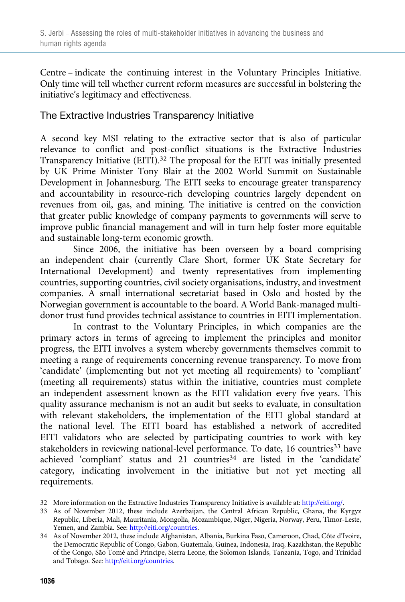Centre – indicate the continuing interest in the Voluntary Principles Initiative. Only time will tell whether current reform measures are successful in bolstering the initiative's legitimacy and effectiveness.

# The Extractive Industries Transparency Initiative

A second key MSI relating to the extractive sector that is also of particular relevance to conflict and post-conflict situations is the Extractive Industries Transparency Initiative (EITI).32 The proposal for the EITI was initially presented by UK Prime Minister Tony Blair at the 2002 World Summit on Sustainable Development in Johannesburg. The EITI seeks to encourage greater transparency and accountability in resource-rich developing countries largely dependent on revenues from oil, gas, and mining. The initiative is centred on the conviction that greater public knowledge of company payments to governments will serve to improve public financial management and will in turn help foster more equitable and sustainable long-term economic growth.

Since 2006, the initiative has been overseen by a board comprising an independent chair (currently Clare Short, former UK State Secretary for International Development) and twenty representatives from implementing countries, supporting countries, civil society organisations, industry, and investment companies. A small international secretariat based in Oslo and hosted by the Norwegian government is accountable to the board. A World Bank-managed multidonor trust fund provides technical assistance to countries in EITI implementation.

In contrast to the Voluntary Principles, in which companies are the primary actors in terms of agreeing to implement the principles and monitor progress, the EITI involves a system whereby governments themselves commit to meeting a range of requirements concerning revenue transparency. To move from 'candidate' (implementing but not yet meeting all requirements) to 'compliant' (meeting all requirements) status within the initiative, countries must complete an independent assessment known as the EITI validation every five years. This quality assurance mechanism is not an audit but seeks to evaluate, in consultation with relevant stakeholders, the implementation of the EITI global standard at the national level. The EITI board has established a network of accredited EITI validators who are selected by participating countries to work with key stakeholders in reviewing national-level performance. To date, 16 countries<sup>33</sup> have achieved 'compliant' status and 21 countries<sup>34</sup> are listed in the 'candidate' category, indicating involvement in the initiative but not yet meeting all requirements.

<sup>32</sup> More information on the Extractive Industries Transparency Initiative is available at: <http://eiti.org/>.

<sup>33</sup> As of November 2012, these include Azerbaijan, the Central African Republic, Ghana, the Kyrgyz Republic, Liberia, Mali, Mauritania, Mongolia, Mozambique, Niger, Nigeria, Norway, Peru, Timor-Leste, Yemen, and Zambia. See: <http://eiti.org/countries>.

<sup>34</sup> As of November 2012, these include Afghanistan, Albania, Burkina Faso, Cameroon, Chad, Côte d'Ivoire, the Democratic Republic of Congo, Gabon, Guatemala, Guinea, Indonesia, Iraq, Kazakhstan, the Republic of the Congo, São Tomé and Principe, Sierra Leone, the Solomon Islands, Tanzania, Togo, and Trinidad and Tobago. See: <http://eiti.org/countries>.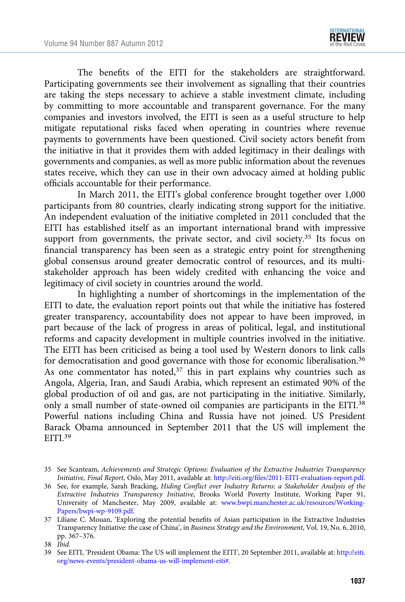The benefits of the EITI for the stakeholders are straightforward. Participating governments see their involvement as signalling that their countries are taking the steps necessary to achieve a stable investment climate, including by committing to more accountable and transparent governance. For the many companies and investors involved, the EITI is seen as a useful structure to help mitigate reputational risks faced when operating in countries where revenue payments to governments have been questioned. Civil society actors benefit from the initiative in that it provides them with added legitimacy in their dealings with governments and companies, as well as more public information about the revenues states receive, which they can use in their own advocacy aimed at holding public officials accountable for their performance.

In March 2011, the EITI's global conference brought together over 1,000 participants from 80 countries, clearly indicating strong support for the initiative. An independent evaluation of the initiative completed in 2011 concluded that the EITI has established itself as an important international brand with impressive support from governments, the private sector, and civil society.<sup>35</sup> Its focus on financial transparency has been seen as a strategic entry point for strengthening global consensus around greater democratic control of resources, and its multistakeholder approach has been widely credited with enhancing the voice and legitimacy of civil society in countries around the world.

In highlighting a number of shortcomings in the implementation of the EITI to date, the evaluation report points out that while the initiative has fostered greater transparency, accountability does not appear to have been improved, in part because of the lack of progress in areas of political, legal, and institutional reforms and capacity development in multiple countries involved in the initiative. The EITI has been criticised as being a tool used by Western donors to link calls for democratisation and good governance with those for economic liberalisation.<sup>36</sup> As one commentator has noted, $37$  this in part explains why countries such as Angola, Algeria, Iran, and Saudi Arabia, which represent an estimated 90% of the global production of oil and gas, are not participating in the initiative. Similarly, only a small number of state-owned oil companies are participants in the EITI.<sup>38</sup> Powerful nations including China and Russia have not joined. US President Barack Obama announced in September 2011 that the US will implement the EITI.39

36 See, for example, Sarah Bracking, Hiding Conflict over Industry Returns: a Stakeholder Analysis of the Extractive Industries Transparency Initiative, Brooks World Poverty Institute, Working Paper 91, University of Manchester, May 2009, available at: [www.bwpi.manchester.ac.uk/resources/Working-](http://www.bwpi.manchester.ac.uk/resources/Working-Papers/bwpi-wp-9109.pdf)[Papers/bwpi-wp-9109.pdf](http://www.bwpi.manchester.ac.uk/resources/Working-Papers/bwpi-wp-9109.pdf).

<sup>35</sup> See Scanteam, Achievements and Strategic Options: Evaluation of the Extractive Industries Transparency Initiative, Final Report, Oslo, May 2011, available at: [http:/](http://eiti.org/files/2011-EITI-evaluation-report.pdf)/eiti.org/fi[les/2011-EITI-evaluation-report.pdf](http://eiti.org/files/2011-EITI-evaluation-report.pdf).

<sup>37</sup> Liliane C. Mouan, 'Exploring the potential benefits of Asian participation in the Extractive Industries Transparency Initiative: the case of China', in Business Strategy and the Environment, Vol. 19, No. 6, 2010, pp. 367–376.

<sup>38</sup> Ibid.

<sup>39</sup> See EITI, 'President Obama: The US will implement the EITI', 20 September 2011, available at: [http://eiti.](http://eiti.org/news-events/president-obama-us-will-implement-eiti#) [org/news-events/president-obama-us-will-implement-eiti#.](http://eiti.org/news-events/president-obama-us-will-implement-eiti#)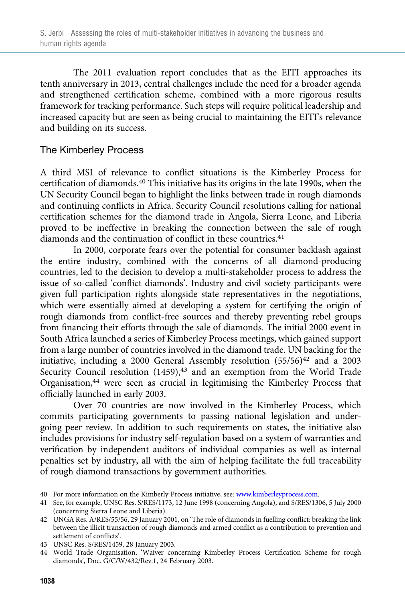The 2011 evaluation report concludes that as the EITI approaches its tenth anniversary in 2013, central challenges include the need for a broader agenda and strengthened certification scheme, combined with a more rigorous results framework for tracking performance. Such steps will require political leadership and increased capacity but are seen as being crucial to maintaining the EITI's relevance and building on its success.

### The Kimberley Process

A third MSI of relevance to conflict situations is the Kimberley Process for certification of diamonds.<sup>40</sup> This initiative has its origins in the late 1990s, when the UN Security Council began to highlight the links between trade in rough diamonds and continuing conflicts in Africa. Security Council resolutions calling for national certification schemes for the diamond trade in Angola, Sierra Leone, and Liberia proved to be ineffective in breaking the connection between the sale of rough diamonds and the continuation of conflict in these countries.<sup>41</sup>

In 2000, corporate fears over the potential for consumer backlash against the entire industry, combined with the concerns of all diamond-producing countries, led to the decision to develop a multi-stakeholder process to address the issue of so-called 'conflict diamonds'. Industry and civil society participants were given full participation rights alongside state representatives in the negotiations, which were essentially aimed at developing a system for certifying the origin of rough diamonds from conflict-free sources and thereby preventing rebel groups from financing their efforts through the sale of diamonds. The initial 2000 event in South Africa launched a series of Kimberley Process meetings, which gained support from a large number of countries involved in the diamond trade. UN backing for the initiative, including a 2000 General Assembly resolution (55/56)<sup>42</sup> and a 2003 Security Council resolution (1459),<sup>43</sup> and an exemption from the World Trade Organisation,44 were seen as crucial in legitimising the Kimberley Process that officially launched in early 2003.

Over 70 countries are now involved in the Kimberley Process, which commits participating governments to passing national legislation and undergoing peer review. In addition to such requirements on states, the initiative also includes provisions for industry self-regulation based on a system of warranties and verification by independent auditors of individual companies as well as internal penalties set by industry, all with the aim of helping facilitate the full traceability of rough diamond transactions by government authorities.

<sup>40</sup> For more information on the Kimberly Process initiative, see: [www.kimberleyprocess.com](http://www.kimberleyprocess.com).

<sup>41</sup> See, for example, UNSC Res. S/RES/1173, 12 June 1998 (concerning Angola), and S/RES/1306, 5 July 2000 (concerning Sierra Leone and Liberia).

<sup>42</sup> UNGA Res. A/RES/55/56, 29 January 2001, on 'The role of diamonds in fuelling conflict: breaking the link between the illicit transaction of rough diamonds and armed conflict as a contribution to prevention and settlement of conflicts'.

<sup>43</sup> UNSC Res. S/RES/1459, 28 January 2003.

<sup>44</sup> World Trade Organisation, 'Waiver concerning Kimberley Process Certification Scheme for rough diamonds', Doc. G/C/W/432/Rev.1, 24 February 2003.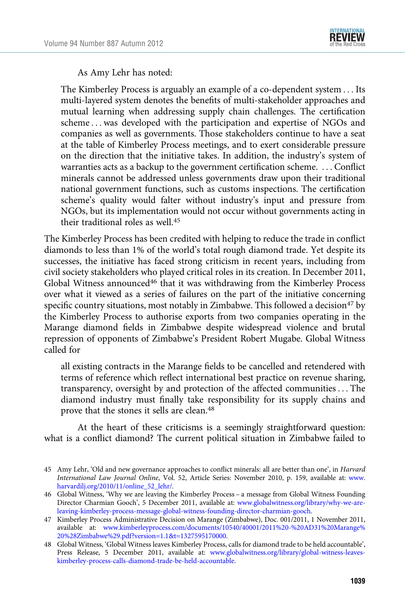

As Amy Lehr has noted:

The Kimberley Process is arguably an example of a co-dependent system ... Its multi-layered system denotes the benefits of multi-stakeholder approaches and mutual learning when addressing supply chain challenges. The certification scheme ... was developed with the participation and expertise of NGOs and companies as well as governments. Those stakeholders continue to have a seat at the table of Kimberley Process meetings, and to exert considerable pressure on the direction that the initiative takes. In addition, the industry's system of warranties acts as a backup to the government certification scheme. ... Conflict minerals cannot be addressed unless governments draw upon their traditional national government functions, such as customs inspections. The certification scheme's quality would falter without industry's input and pressure from NGOs, but its implementation would not occur without governments acting in their traditional roles as well.45

The Kimberley Process has been credited with helping to reduce the trade in conflict diamonds to less than 1% of the world's total rough diamond trade. Yet despite its successes, the initiative has faced strong criticism in recent years, including from civil society stakeholders who played critical roles in its creation. In December 2011, Global Witness announced<sup>46</sup> that it was withdrawing from the Kimberley Process over what it viewed as a series of failures on the part of the initiative concerning specific country situations, most notably in Zimbabwe. This followed a decision<sup>47</sup> by the Kimberley Process to authorise exports from two companies operating in the Marange diamond fields in Zimbabwe despite widespread violence and brutal repression of opponents of Zimbabwe's President Robert Mugabe. Global Witness called for

all existing contracts in the Marange fields to be cancelled and retendered with terms of reference which reflect international best practice on revenue sharing, transparency, oversight by and protection of the affected communities ... The diamond industry must finally take responsibility for its supply chains and prove that the stones it sells are clean.48

At the heart of these criticisms is a seemingly straightforward question: what is a conflict diamond? The current political situation in Zimbabwe failed to

<sup>45</sup> Amy Lehr, 'Old and new governance approaches to conflict minerals: all are better than one', in Harvard International Law Journal Online, Vol. 52, Article Series: November 2010, p. 159, available at: [www.](http://www.harvardilj.org/2010/11/online_52_lehr/) [harvardilj.org/2010/11/online\\_52\\_lehr/](http://www.harvardilj.org/2010/11/online_52_lehr/).

<sup>46</sup> Global Witness, 'Why we are leaving the Kimberley Process – a message from Global Witness Founding Director Charmian Gooch', 5 December 2011, available at: [www.globalwitness.org/library/why-we-are](http://www.globalwitness.org/library/why-we-are-leaving-kimberley-process-message-global-witness-founding-director-charmian-gooch)[leaving-kimberley-process-message-global-witness-founding-director-charmian-gooch.](http://www.globalwitness.org/library/why-we-are-leaving-kimberley-process-message-global-witness-founding-director-charmian-gooch)

<sup>47</sup> Kimberley Process Administrative Decision on Marange (Zimbabwe), Doc. 001/2011, 1 November 2011, available at: [www.kimberleyprocess.com/documents/10540/40001/2011%20-%20AD31%20Marange%](http://www.kimberleyprocess.com/documents/10540/40001/2011%20-%20AD31%20Marange%20%28Zimbabwe%29.pdf?version=1.1&t=1327595170000) [20%28Zimbabwe%29.pdf?version=1.1&t=1327595170000](http://www.kimberleyprocess.com/documents/10540/40001/2011%20-%20AD31%20Marange%20%28Zimbabwe%29.pdf?version=1.1&t=1327595170000).

<sup>48</sup> Global Witness, 'Global Witness leaves Kimberley Process, calls for diamond trade to be held accountable', Press Release, 5 December 2011, available at: [www.globalwitness.org/library/global-witness-leaves](http://www.globalwitness.org/library/global-witness-leaves-kimberley-process-calls-diamond-trade-be-held-accountable)[kimberley-process-calls-diamond-trade-be-held-accountable.](http://www.globalwitness.org/library/global-witness-leaves-kimberley-process-calls-diamond-trade-be-held-accountable)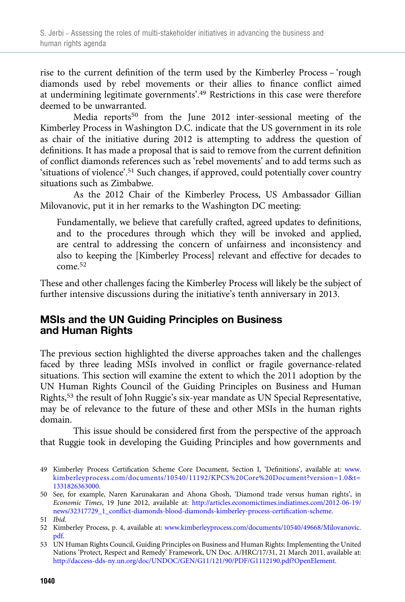rise to the current definition of the term used by the Kimberley Process – 'rough diamonds used by rebel movements or their allies to finance conflict aimed at undermining legitimate governments'. <sup>49</sup> Restrictions in this case were therefore deemed to be unwarranted.

Media reports<sup>50</sup> from the June 2012 inter-sessional meeting of the Kimberley Process in Washington D.C. indicate that the US government in its role as chair of the initiative during 2012 is attempting to address the question of definitions. It has made a proposal that is said to remove from the current definition of conflict diamonds references such as 'rebel movements' and to add terms such as 'situations of violence'.<sup>51</sup> Such changes, if approved, could potentially cover country situations such as Zimbabwe.

As the 2012 Chair of the Kimberley Process, US Ambassador Gillian Milovanovic, put it in her remarks to the Washington DC meeting:

Fundamentally, we believe that carefully crafted, agreed updates to definitions, and to the procedures through which they will be invoked and applied, are central to addressing the concern of unfairness and inconsistency and also to keeping the [Kimberley Process] relevant and effective for decades to come.52

These and other challenges facing the Kimberley Process will likely be the subject of further intensive discussions during the initiative's tenth anniversary in 2013.

# MSIs and the UN Guiding Principles on Business and Human Rights

The previous section highlighted the diverse approaches taken and the challenges faced by three leading MSIs involved in conflict or fragile governance-related situations. This section will examine the extent to which the 2011 adoption by the UN Human Rights Council of the Guiding Principles on Business and Human Rights,53 the result of John Ruggie's six-year mandate as UN Special Representative, may be of relevance to the future of these and other MSIs in the human rights domain.

This issue should be considered first from the perspective of the approach that Ruggie took in developing the Guiding Principles and how governments and

<sup>49</sup> Kimberley Process Certification Scheme Core Document, Section I, 'Definitions', available at: [www.](http://www.kimberleyprocess.com/documents/10540/11192/KPCS%20Core%20Document?version=1.0&t=1331826363000) [kimberleyprocess.com/documents/10540/11192/KPCS%20Core%20Document?version=1.0&t=](http://www.kimberleyprocess.com/documents/10540/11192/KPCS%20Core%20Document?version=1.0&t=1331826363000) [1331826363000](http://www.kimberleyprocess.com/documents/10540/11192/KPCS%20Core%20Document?version=1.0&t=1331826363000).

<sup>50</sup> See, for example, Naren Karunakaran and Ahona Ghosh, 'Diamond trade versus human rights', in Economic Times, 19 June 2012, available at: [http://articles.economictimes.indiatimes.com/2012-06-19/](http://articles.economictimes.indiatimes.com/2012-06-19/news/32317729_1_conflict-diamonds-blood-diamonds-kimberley-process-certification-scheme) news/32317729\_1\_confl[ict-diamonds-blood-diamonds-kimberley-process-certi](http://articles.economictimes.indiatimes.com/2012-06-19/news/32317729_1_conflict-diamonds-blood-diamonds-kimberley-process-certification-scheme)fication-scheme.

<sup>51</sup> Ibid.

<sup>52</sup> Kimberley Process, p. 4, available at: [www.kimberleyprocess.com/documents/10540/49668/Milovanovic.](http://www.kimberleyprocess.com/documents/10540/49668/Milovanovic.pdf) [pdf](http://www.kimberleyprocess.com/documents/10540/49668/Milovanovic.pdf).

<sup>53</sup> UN Human Rights Council, Guiding Principles on Business and Human Rights: Implementing the United Nations 'Protect, Respect and Remedy' Framework, UN Doc. A/HRC/17/31, 21 March 2011, available at: <http://daccess-dds-ny.un.org/doc/UNDOC/GEN/G11/121/90/PDF/G1112190.pdf?OpenElement>.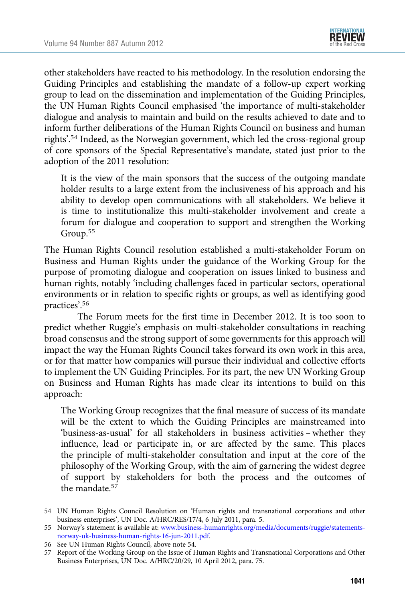

other stakeholders have reacted to his methodology. In the resolution endorsing the Guiding Principles and establishing the mandate of a follow-up expert working group to lead on the dissemination and implementation of the Guiding Principles, the UN Human Rights Council emphasised 'the importance of multi-stakeholder dialogue and analysis to maintain and build on the results achieved to date and to inform further deliberations of the Human Rights Council on business and human rights'. <sup>54</sup> Indeed, as the Norwegian government, which led the cross-regional group of core sponsors of the Special Representative's mandate, stated just prior to the adoption of the 2011 resolution:

It is the view of the main sponsors that the success of the outgoing mandate holder results to a large extent from the inclusiveness of his approach and his ability to develop open communications with all stakeholders. We believe it is time to institutionalize this multi-stakeholder involvement and create a forum for dialogue and cooperation to support and strengthen the Working Group.55

The Human Rights Council resolution established a multi-stakeholder Forum on Business and Human Rights under the guidance of the Working Group for the purpose of promoting dialogue and cooperation on issues linked to business and human rights, notably 'including challenges faced in particular sectors, operational environments or in relation to specific rights or groups, as well as identifying good practices'. 56

The Forum meets for the first time in December 2012. It is too soon to predict whether Ruggie's emphasis on multi-stakeholder consultations in reaching broad consensus and the strong support of some governments for this approach will impact the way the Human Rights Council takes forward its own work in this area, or for that matter how companies will pursue their individual and collective efforts to implement the UN Guiding Principles. For its part, the new UN Working Group on Business and Human Rights has made clear its intentions to build on this approach:

The Working Group recognizes that the final measure of success of its mandate will be the extent to which the Guiding Principles are mainstreamed into 'business-as-usual' for all stakeholders in business activities – whether they influence, lead or participate in, or are affected by the same. This places the principle of multi-stakeholder consultation and input at the core of the philosophy of the Working Group, with the aim of garnering the widest degree of support by stakeholders for both the process and the outcomes of the mandate.57

56 See UN Human Rights Council, above note 54.

<sup>54</sup> UN Human Rights Council Resolution on 'Human rights and transnational corporations and other business enterprises', UN Doc. A/HRC/RES/17/4, 6 July 2011, para. 5.

<sup>55</sup> Norway's statement is available at: [www.business-humanrights.org/media/documents/ruggie/statements](http://www.business-humanrights.org/media/documents/ruggie/statements-norway-uk-business-human-rights-16-jun-2011.pdf)[norway-uk-business-human-rights-16-jun-2011.pdf.](http://www.business-humanrights.org/media/documents/ruggie/statements-norway-uk-business-human-rights-16-jun-2011.pdf)

<sup>57</sup> Report of the Working Group on the Issue of Human Rights and Transnational Corporations and Other Business Enterprises, UN Doc. A/HRC/20/29, 10 April 2012, para. 75.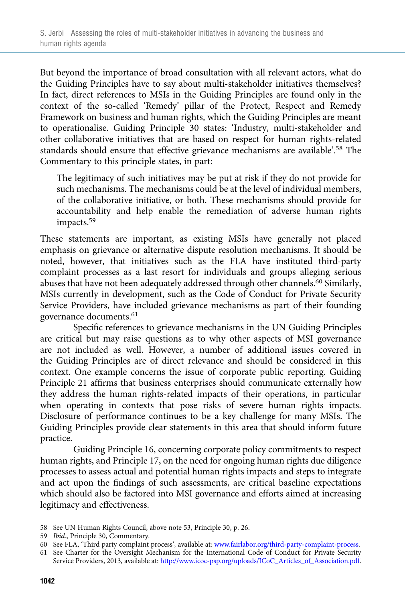But beyond the importance of broad consultation with all relevant actors, what do the Guiding Principles have to say about multi-stakeholder initiatives themselves? In fact, direct references to MSIs in the Guiding Principles are found only in the context of the so-called 'Remedy' pillar of the Protect, Respect and Remedy Framework on business and human rights, which the Guiding Principles are meant to operationalise. Guiding Principle 30 states: 'Industry, multi-stakeholder and other collaborative initiatives that are based on respect for human rights-related standards should ensure that effective grievance mechanisms are available'. <sup>58</sup> The Commentary to this principle states, in part:

The legitimacy of such initiatives may be put at risk if they do not provide for such mechanisms. The mechanisms could be at the level of individual members, of the collaborative initiative, or both. These mechanisms should provide for accountability and help enable the remediation of adverse human rights impacts.59

These statements are important, as existing MSIs have generally not placed emphasis on grievance or alternative dispute resolution mechanisms. It should be noted, however, that initiatives such as the FLA have instituted third-party complaint processes as a last resort for individuals and groups alleging serious abuses that have not been adequately addressed through other channels.<sup>60</sup> Similarly, MSIs currently in development, such as the Code of Conduct for Private Security Service Providers, have included grievance mechanisms as part of their founding governance documents.<sup>61</sup>

Specific references to grievance mechanisms in the UN Guiding Principles are critical but may raise questions as to why other aspects of MSI governance are not included as well. However, a number of additional issues covered in the Guiding Principles are of direct relevance and should be considered in this context. One example concerns the issue of corporate public reporting. Guiding Principle 21 affirms that business enterprises should communicate externally how they address the human rights-related impacts of their operations, in particular when operating in contexts that pose risks of severe human rights impacts. Disclosure of performance continues to be a key challenge for many MSIs. The Guiding Principles provide clear statements in this area that should inform future practice.

Guiding Principle 16, concerning corporate policy commitments to respect human rights, and Principle 17, on the need for ongoing human rights due diligence processes to assess actual and potential human rights impacts and steps to integrate and act upon the findings of such assessments, are critical baseline expectations which should also be factored into MSI governance and efforts aimed at increasing legitimacy and effectiveness.

<sup>58</sup> See UN Human Rights Council, above note 53, Principle 30, p. 26.

<sup>59</sup> Ibid., Principle 30, Commentary.

<sup>60</sup> See FLA, 'Third party complaint process', available at: [www.fairlabor.org/third-party-complaint-process.](http://www.fairlabor.org/third-party-complaint-process)

<sup>61</sup> See Charter for the Oversight Mechanism for the International Code of Conduct for Private Security Service Providers, 2013, available at: [http://www.icoc-psp.org/uploads/ICoC\\_Articles\\_of\\_Association.pdf.](http://www.icoc-psp.org/uploads/ICoC_Articles_of_Association.pdf)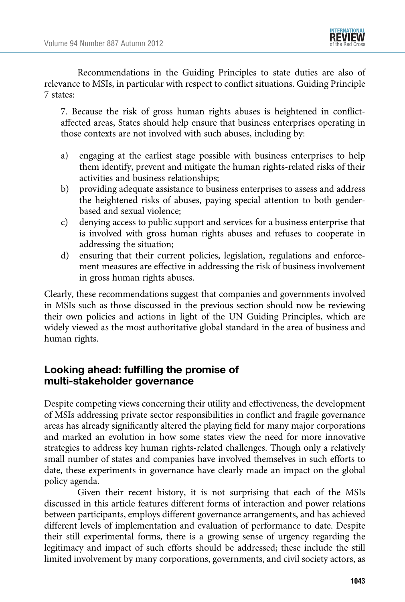Recommendations in the Guiding Principles to state duties are also of relevance to MSIs, in particular with respect to conflict situations. Guiding Principle 7 states:

7. Because the risk of gross human rights abuses is heightened in conflictaffected areas, States should help ensure that business enterprises operating in those contexts are not involved with such abuses, including by:

- a) engaging at the earliest stage possible with business enterprises to help them identify, prevent and mitigate the human rights-related risks of their activities and business relationships;
- b) providing adequate assistance to business enterprises to assess and address the heightened risks of abuses, paying special attention to both genderbased and sexual violence;
- c) denying access to public support and services for a business enterprise that is involved with gross human rights abuses and refuses to cooperate in addressing the situation;
- d) ensuring that their current policies, legislation, regulations and enforcement measures are effective in addressing the risk of business involvement in gross human rights abuses.

Clearly, these recommendations suggest that companies and governments involved in MSIs such as those discussed in the previous section should now be reviewing their own policies and actions in light of the UN Guiding Principles, which are widely viewed as the most authoritative global standard in the area of business and human rights.

# Looking ahead: fulfilling the promise of multi-stakeholder governance

Despite competing views concerning their utility and effectiveness, the development of MSIs addressing private sector responsibilities in conflict and fragile governance areas has already significantly altered the playing field for many major corporations and marked an evolution in how some states view the need for more innovative strategies to address key human rights-related challenges. Though only a relatively small number of states and companies have involved themselves in such efforts to date, these experiments in governance have clearly made an impact on the global policy agenda.

Given their recent history, it is not surprising that each of the MSIs discussed in this article features different forms of interaction and power relations between participants, employs different governance arrangements, and has achieved different levels of implementation and evaluation of performance to date. Despite their still experimental forms, there is a growing sense of urgency regarding the legitimacy and impact of such efforts should be addressed; these include the still limited involvement by many corporations, governments, and civil society actors, as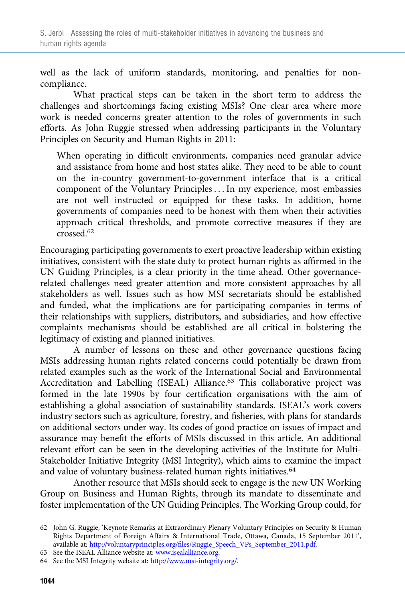well as the lack of uniform standards, monitoring, and penalties for noncompliance.

What practical steps can be taken in the short term to address the challenges and shortcomings facing existing MSIs? One clear area where more work is needed concerns greater attention to the roles of governments in such efforts. As John Ruggie stressed when addressing participants in the Voluntary Principles on Security and Human Rights in 2011:

When operating in difficult environments, companies need granular advice and assistance from home and host states alike. They need to be able to count on the in-country government-to-government interface that is a critical component of the Voluntary Principles ... In my experience, most embassies are not well instructed or equipped for these tasks. In addition, home governments of companies need to be honest with them when their activities approach critical thresholds, and promote corrective measures if they are crossed.62

Encouraging participating governments to exert proactive leadership within existing initiatives, consistent with the state duty to protect human rights as affirmed in the UN Guiding Principles, is a clear priority in the time ahead. Other governancerelated challenges need greater attention and more consistent approaches by all stakeholders as well. Issues such as how MSI secretariats should be established and funded, what the implications are for participating companies in terms of their relationships with suppliers, distributors, and subsidiaries, and how effective complaints mechanisms should be established are all critical in bolstering the legitimacy of existing and planned initiatives.

A number of lessons on these and other governance questions facing MSIs addressing human rights related concerns could potentially be drawn from related examples such as the work of the International Social and Environmental Accreditation and Labelling (ISEAL) Alliance.<sup>63</sup> This collaborative project was formed in the late 1990s by four certification organisations with the aim of establishing a global association of sustainability standards. ISEAL's work covers industry sectors such as agriculture, forestry, and fisheries, with plans for standards on additional sectors under way. Its codes of good practice on issues of impact and assurance may benefit the efforts of MSIs discussed in this article. An additional relevant effort can be seen in the developing activities of the Institute for Multi-Stakeholder Initiative Integrity (MSI Integrity), which aims to examine the impact and value of voluntary business-related human rights initiatives.<sup>64</sup>

Another resource that MSIs should seek to engage is the new UN Working Group on Business and Human Rights, through its mandate to disseminate and foster implementation of the UN Guiding Principles. The Working Group could, for

<sup>62</sup> John G. Ruggie, 'Keynote Remarks at Extraordinary Plenary Voluntary Principles on Security & Human Rights Department of Foreign Affairs & International Trade, Ottawa, Canada, 15 September 2011', available at: [http://](http://voluntaryprinciples.org/files/Ruggie_Speech_VPs_September_2011.pdf)voluntaryprinciples.org/fi[les/Ruggie\\_Speech\\_VPs\\_September\\_2011.pdf.](http://voluntaryprinciples.org/files/Ruggie_Speech_VPs_September_2011.pdf)

<sup>63</sup> See the ISEAL Alliance website at: [www.isealalliance.org.](http://www.isealalliance.org)

<sup>64</sup> See the MSI Integrity website at: [http://www.msi-integrity.org/.](http://www.msi-integrity.org/)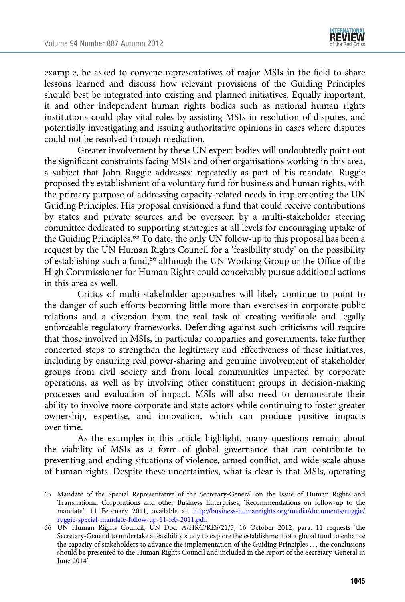example, be asked to convene representatives of major MSIs in the field to share lessons learned and discuss how relevant provisions of the Guiding Principles should best be integrated into existing and planned initiatives. Equally important, it and other independent human rights bodies such as national human rights institutions could play vital roles by assisting MSIs in resolution of disputes, and potentially investigating and issuing authoritative opinions in cases where disputes could not be resolved through mediation.

Greater involvement by these UN expert bodies will undoubtedly point out the significant constraints facing MSIs and other organisations working in this area, a subject that John Ruggie addressed repeatedly as part of his mandate. Ruggie proposed the establishment of a voluntary fund for business and human rights, with the primary purpose of addressing capacity-related needs in implementing the UN Guiding Principles. His proposal envisioned a fund that could receive contributions by states and private sources and be overseen by a multi-stakeholder steering committee dedicated to supporting strategies at all levels for encouraging uptake of the Guiding Principles.65 To date, the only UN follow-up to this proposal has been a request by the UN Human Rights Council for a 'feasibility study' on the possibility of establishing such a fund,66 although the UN Working Group or the Office of the High Commissioner for Human Rights could conceivably pursue additional actions in this area as well.

Critics of multi-stakeholder approaches will likely continue to point to the danger of such efforts becoming little more than exercises in corporate public relations and a diversion from the real task of creating verifiable and legally enforceable regulatory frameworks. Defending against such criticisms will require that those involved in MSIs, in particular companies and governments, take further concerted steps to strengthen the legitimacy and effectiveness of these initiatives, including by ensuring real power-sharing and genuine involvement of stakeholder groups from civil society and from local communities impacted by corporate operations, as well as by involving other constituent groups in decision-making processes and evaluation of impact. MSIs will also need to demonstrate their ability to involve more corporate and state actors while continuing to foster greater ownership, expertise, and innovation, which can produce positive impacts over time.

As the examples in this article highlight, many questions remain about the viability of MSIs as a form of global governance that can contribute to preventing and ending situations of violence, armed conflict, and wide-scale abuse of human rights. Despite these uncertainties, what is clear is that MSIs, operating

<sup>65</sup> Mandate of the Special Representative of the Secretary-General on the Issue of Human Rights and Transnational Corporations and other Business Enterprises, 'Recommendations on follow-up to the mandate', 11 February 2011, available at: [http://business-humanrights.org/media/documents/ruggie/](http://business-humanrights.org/media/documents/ruggie/ruggie-special-mandate-follow-up-11-feb-2011.pdf) [ruggie-special-mandate-follow-up-11-feb-2011.pdf](http://business-humanrights.org/media/documents/ruggie/ruggie-special-mandate-follow-up-11-feb-2011.pdf).

<sup>66</sup> UN Human Rights Council, UN Doc. A/HRC/RES/21/5, 16 October 2012, para. 11 requests 'the Secretary-General to undertake a feasibility study to explore the establishment of a global fund to enhance the capacity of stakeholders to advance the implementation of the Guiding Principles ... the conclusions should be presented to the Human Rights Council and included in the report of the Secretary-General in June 2014'.